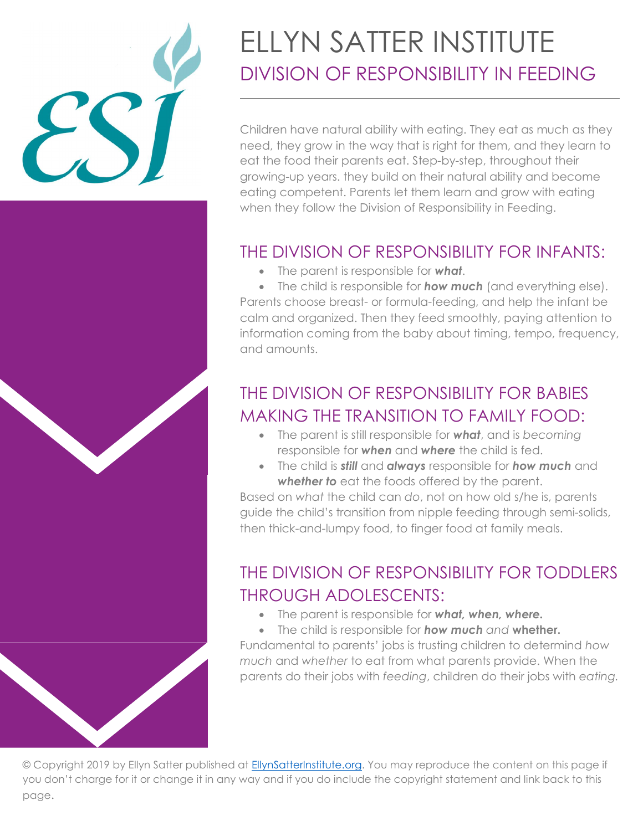

# ELLYN SATTER INSTITUTE DIVISION OF RESPONSIBILITY IN FEEDING

Children have natural ability with eating. They eat as much as they need, they grow in the way that is right for them, and they learn to eat the food their parents eat. Step-by-step, throughout their growing-up years. they build on their natural ability and become eating competent. Parents let them learn and grow with eating when they follow the Division of Responsibility in Feeding.

### THE DIVISION OF RESPONSIBILITY FOR INFANTS:

 $\bullet$  The parent is responsible for what.

 $\bullet$  The child is responsible for **how much** (and everything else). Parents choose breast- or formula-feeding, and help the infant be calm and organized. Then they feed smoothly, paying attention to information coming from the baby about timing, tempo, frequency, and amounts.

## THE DIVISION OF RESPONSIBILITY FOR BABIES MAKING THE TRANSITION TO FAMILY FOOD:

- $\bullet$  The parent is still responsible for **what**, and is becoming responsible for **when** and **where** the child is fed.
- The child is still and always responsible for how much and whether to eat the foods offered by the parent.

Based on what the child can do, not on how old s/he is, parents guide the child's transition from nipple feeding through semi-solids, then thick-and-lumpy food, to finger food at family meals.

## THE DIVISION OF RESPONSIBILITY FOR TODDLERS THROUGH ADOLESCENTS:

• The parent is responsible for what, when, where.

• The child is responsible for how much and whether. Fundamental to parents' jobs is trusting children to determind how much and whether to eat from what parents provide. When the parents do their jobs with feeding, children do their jobs with eating.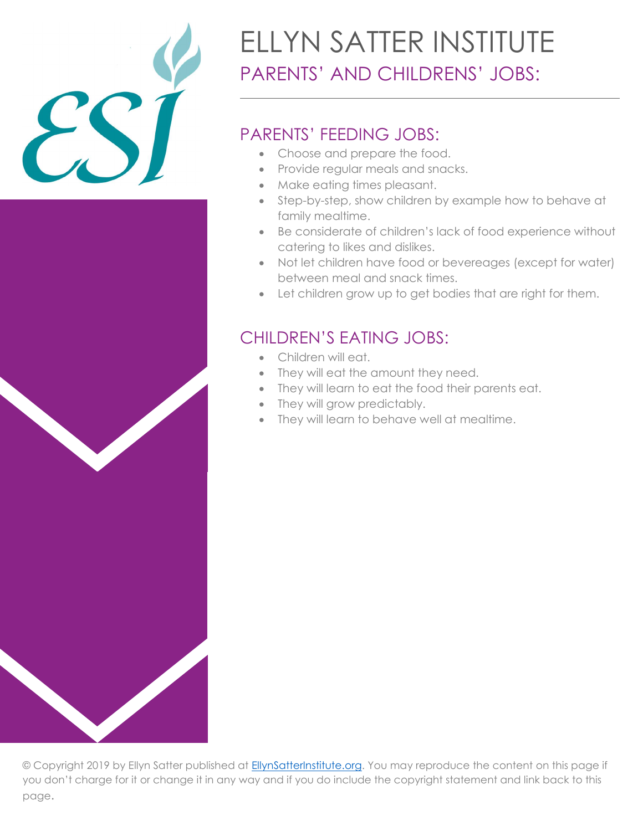

# ELLYN SATTER INSTITUTE PARENTS' AND CHILDRENS' JOBS:

#### PARENTS' FEEDING JOBS:

- Choose and prepare the food.
- Provide regular meals and snacks.
- Make eating times pleasant.
- Step-by-step, show children by example how to behave at family mealtime.
- Be considerate of children's lack of food experience without catering to likes and dislikes.
- Not let children have food or bevereages (except for water) between meal and snack times.
- Let children grow up to get bodies that are right for them.

#### CHILDREN'S EATING JOBS:

- Children will eat.
- They will eat the amount they need.
- They will learn to eat the food their parents eat.
- They will grow predictably.
- They will learn to behave well at mealtime.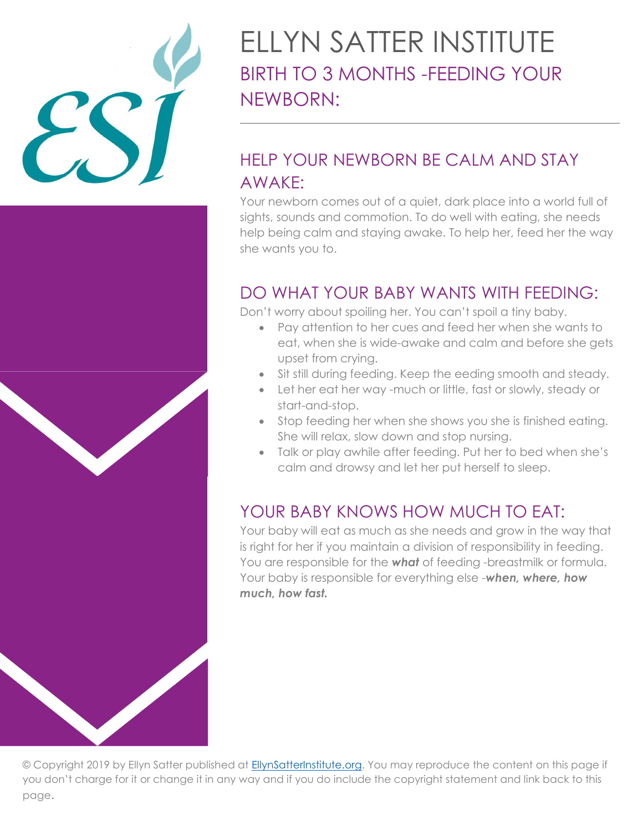

## ELLYN SATTER INSTITUTE BIRTH TO 3 MONTHS -FEEDING YOUR NEWBORN:

## HELP YOUR NEWBORN BE CALM AND STAY AWAKE:

Your newborn comes out of a quiet, dark place into a world full of sights, sounds and commotion. To do well with eating, she needs help being calm and staying awake. To help her, feed her the way she wants you to.

#### DO WHAT YOUR BABY WANTS WITH FEEDING:

Don't worry about spoiling her. You can't spoil a tiny baby.

- Pay attention to her cues and feed her when she wants to eat, when she is wide-awake and calm and before she gets upset from crying.
- Sit still during feeding. Keep the eeding smooth and steady.
- Let her eat her way -much or little, fast or slowly, steady or start-and-stop.
- Stop feeding her when she shows you she is finished eating. She will relax, slow down and stop nursing.
- Talk or play awhile after feeding. Put her to bed when she's calm and drowsy and let her put herself to sleep.

### YOUR BABY KNOWS HOW MUCH TO EAT:

Your baby will eat as much as she needs and grow in the way that is right for her if you maintain a division of responsibility in feeding. You are responsible for the **what** of feeding -breastmilk or formula. Your baby is responsible for everything else -when, where, how much, how fast.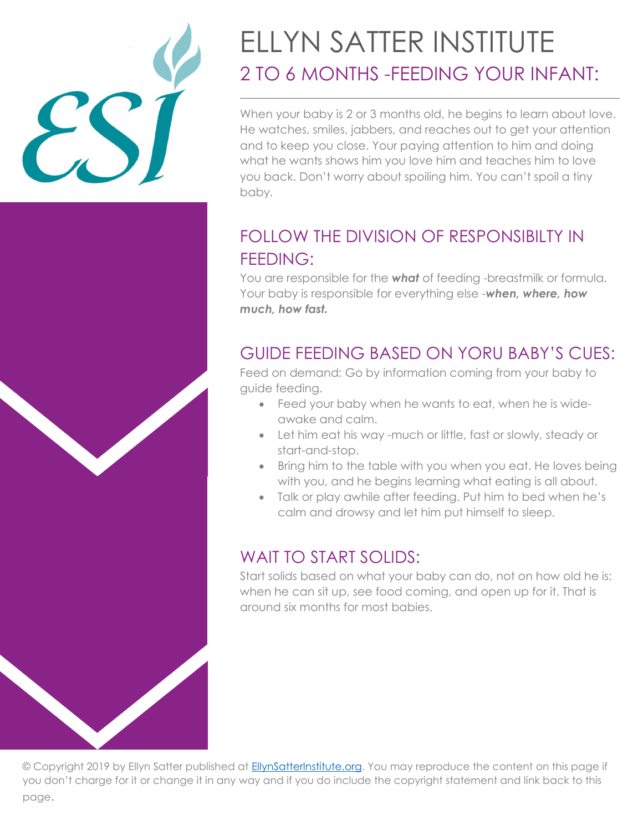

# ELLYN SATTER INSTITUTE 2 TO 6 MONTHS -FEEDING YOUR INFANT:

When your baby is 2 or 3 months old, he begins to learn about love. He watches, smiles, jabbers, and reaches out to get your attention and to keep you close. Your paying attention to him and doing what he wants shows him you love him and teaches him to love you back. Don't worry about spoiling him. You can't spoil a tiny baby.

### FOLLOW THE DIVISION OF RESPONSIBILTY IN FEEDING:

You are responsible for the **what** of feeding -breastmilk or formula. Your baby is responsible for everything else -when, where, how much, how fast.

### GUIDE FEEDING BASED ON YORU BABY'S CUES:

Feed on demand: Go by information coming from your baby to guide feeding.

- Feed your baby when he wants to eat, when he is wideawake and calm.
- Let him eat his way -much or little, fast or slowly, steady or start-and-stop.
- Bring him to the table with you when you eat. He loves being with you, and he begins learning what eating is all about.
- Talk or play awhile after feeding. Put him to bed when he's calm and drowsy and let him put himself to sleep.

#### WAIT TO START SOLIDS:

Start solids based on what your baby can do, not on how old he is: when he can sit up, see food coming, and open up for it. That is around six months for most babies.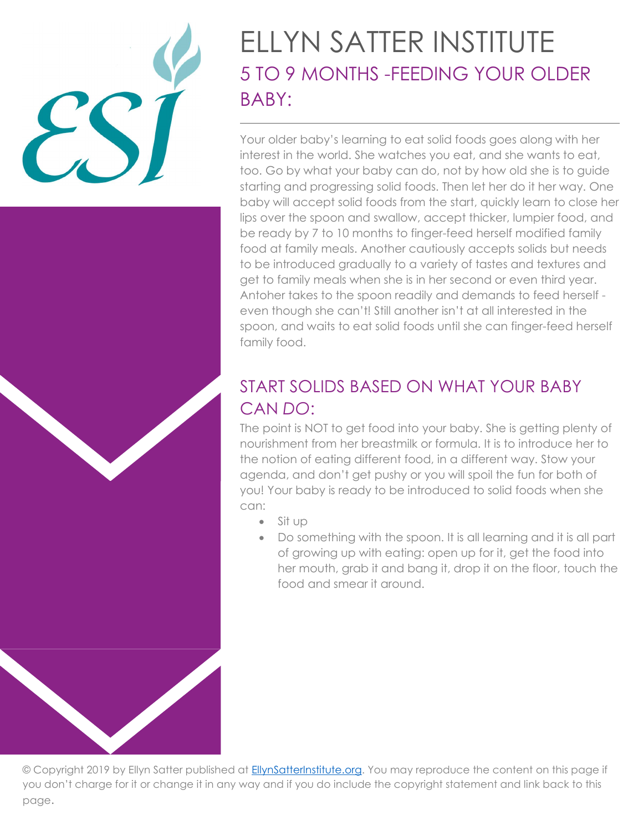

## ELLYN SATTER INSTITUTE 5 TO 9 MONTHS -FEEDING YOUR OLDER BABY:

Your older baby's learning to eat solid foods goes along with her interest in the world. She watches you eat, and she wants to eat, too. Go by what your baby can do, not by how old she is to guide starting and progressing solid foods. Then let her do it her way. One baby will accept solid foods from the start, quickly learn to close her lips over the spoon and swallow, accept thicker, lumpier food, and be ready by 7 to 10 months to finger-feed herself modified family food at family meals. Another cautiously accepts solids but needs to be introduced gradually to a variety of tastes and textures and get to family meals when she is in her second or even third year. Antoher takes to the spoon readily and demands to feed herself even though she can't! Still another isn't at all interested in the spoon, and waits to eat solid foods until she can finger-feed herself family food.

### START SOLIDS BASED ON WHAT YOUR BABY CAN DO:

The point is NOT to get food into your baby. She is getting plenty of nourishment from her breastmilk or formula. It is to introduce her to the notion of eating different food, in a different way. Stow your agenda, and don't get pushy or you will spoil the fun for both of you! Your baby is ready to be introduced to solid foods when she can:

- $\bullet$  Sit up
- Do something with the spoon. It is all learning and it is all part of growing up with eating: open up for it, get the food into her mouth, grab it and bang it, drop it on the floor, touch the food and smear it around.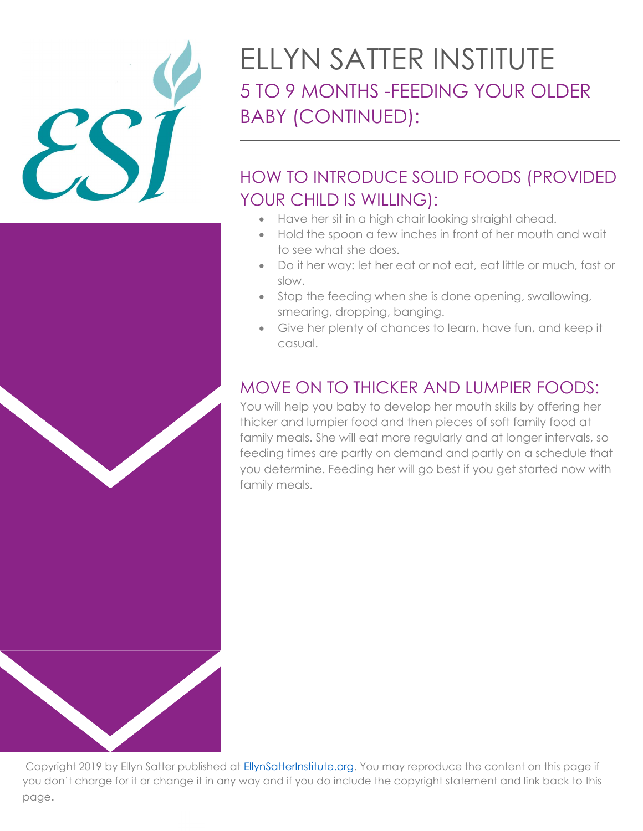

## ELLYN SATTER INSTITUTE 5 TO 9 MONTHS -FEEDING YOUR OLDER BABY (CONTINUED):

## HOW TO INTRODUCE SOLID FOODS (PROVIDED YOUR CHILD IS WILLING):

- Have her sit in a high chair looking straight ahead.
- Hold the spoon a few inches in front of her mouth and wait to see what she does.
- Do it her way: let her eat or not eat, eat little or much, fast or slow.
- Stop the feeding when she is done opening, swallowing, smearing, dropping, banging.
- Give her plenty of chances to learn, have fun, and keep it casual.

### MOVE ON TO THICKER AND LUMPIER FOODS:

You will help you baby to develop her mouth skills by offering her thicker and lumpier food and then pieces of soft family food at family meals. She will eat more regularly and at longer intervals, so feeding times are partly on demand and partly on a schedule that you determine. Feeding her will go best if you get started now with family meals.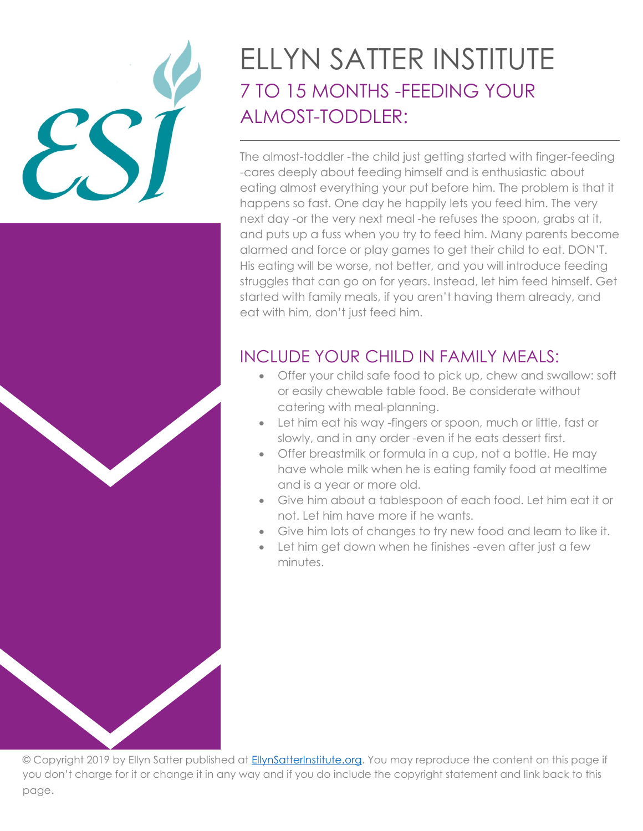# ELLYN SATTER INSTITUTE 7 TO 15 MONTHS -FEEDING YOUR ALMOST-TODDLER:

The almost-toddler -the child just getting started with finger-feeding -cares deeply about feeding himself and is enthusiastic about eating almost everything your put before him. The problem is that it happens so fast. One day he happily lets you feed him. The very next day -or the very next meal -he refuses the spoon, grabs at it, and puts up a fuss when you try to feed him. Many parents become alarmed and force or play games to get their child to eat. DON'T. His eating will be worse, not better, and you will introduce feeding struggles that can go on for years. Instead, let him feed himself. Get started with family meals, if you aren't having them already, and eat with him, don't just feed him.

### INCLUDE YOUR CHILD IN FAMILY MEALS:

- Offer your child safe food to pick up, chew and swallow: soft or easily chewable table food. Be considerate without catering with meal-planning.
- Let him eat his way -fingers or spoon, much or little, fast or slowly, and in any order -even if he eats dessert first.
- Offer breastmilk or formula in a cup, not a bottle. He may have whole milk when he is eating family food at mealtime and is a year or more old.
- Give him about a tablespoon of each food. Let him eat it or not. Let him have more if he wants.
- Give him lots of changes to try new food and learn to like it.
- Let him get down when he finishes -even after just a few minutes.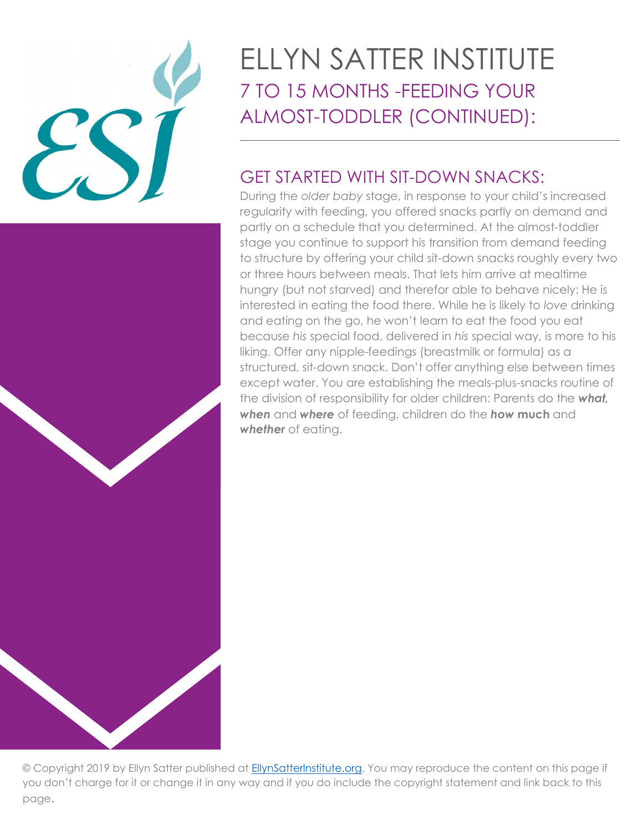

## ELLYN SATTER INSTITUTE 7 TO 15 MONTHS -FEEDING YOUR ALMOST-TODDLER (CONTINUED):

### GET STARTED WITH SIT-DOWN SNACKS:

During the older baby stage, in response to your child's increased regularity with feeding, you offered snacks partly on demand and partly on a schedule that you determined. At the almost-toddler stage you continue to support his transition from demand feeding to structure by offering your child sit-down snacks roughly every two or three hours between meals. That lets him arrive at mealtime hungry (but not starved) and therefor able to behave nicely: He is interested in eating the food there. While he is likely to love drinking and eating on the go, he won't learn to eat the food you eat because his special food, delivered in his special way, is more to his liking. Offer any nipple-feedings (breastmilk or formula) as a structured, sit-down snack. Don't offer anything else between times except water. You are establishing the meals-plus-snacks routine of the division of responsibility for older children: Parents do the what, when and where of feeding, children do the how much and whether of eating.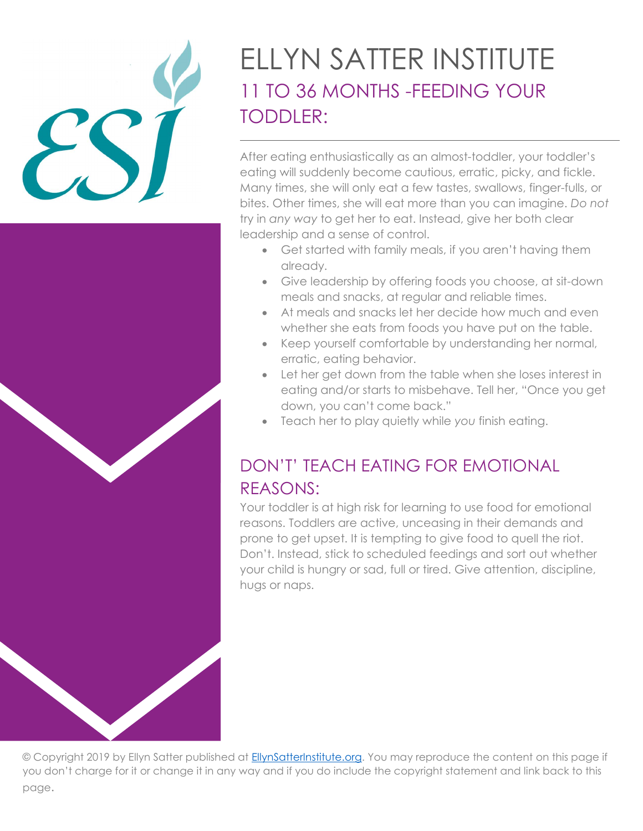## ELLYN SATTER INSTITUTE 11 TO 36 MONTHS -FEEDING YOUR TODDLER:

After eating enthusiastically as an almost-toddler, your toddler's eating will suddenly become cautious, erratic, picky, and fickle. Many times, she will only eat a few tastes, swallows, finger-fulls, or bites. Other times, she will eat more than you can imagine. Do not try in any way to get her to eat. Instead, give her both clear leadership and a sense of control.

- Get started with family meals, if you aren't having them already.
- Give leadership by offering foods you choose, at sit-down meals and snacks, at regular and reliable times.
- At meals and snacks let her decide how much and even whether she eats from foods you have put on the table.
- Keep yourself comfortable by understanding her normal, erratic, eating behavior.
- Let her get down from the table when she loses interest in eating and/or starts to misbehave. Tell her, "Once you get down, you can't come back."
- Teach her to play quietly while you finish eating.

## DON'T' TEACH EATING FOR EMOTIONAL REASONS:

Your toddler is at high risk for learning to use food for emotional reasons. Toddlers are active, unceasing in their demands and prone to get upset. It is tempting to give food to quell the riot. Don't. Instead, stick to scheduled feedings and sort out whether your child is hungry or sad, full or tired. Give attention, discipline, hugs or naps.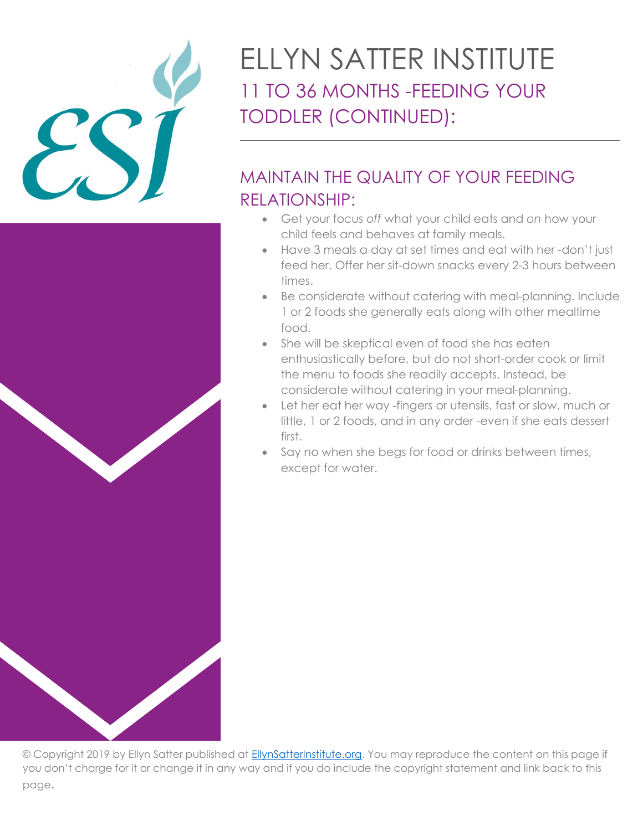

# ELLYN SATTER INSTITUTE 11 TO 36 MONTHS -FEEDING YOUR TODDLER (CONTINUED):

## MAINTAIN THE QUALITY OF YOUR FEEDING RELATIONSHIP:

- Get your focus off what your child eats and on how your child feels and behaves at family meals.
- Have 3 meals a day at set times and eat with her -don't just feed her. Offer her sit-down snacks every 2-3 hours between times.
- Be considerate without catering with meal-planning. Include 1 or 2 foods she generally eats along with other mealtime food.
- She will be skeptical even of food she has eaten enthusiastically before, but do not short-order cook or limit the menu to foods she readily accepts. Instead, be considerate without catering in your meal-planning.
- Let her eat her way -fingers or utensils, fast or slow, much or little, 1 or 2 foods, and in any order -even if she eats dessert first.
- Say no when she begs for food or drinks between times, except for water.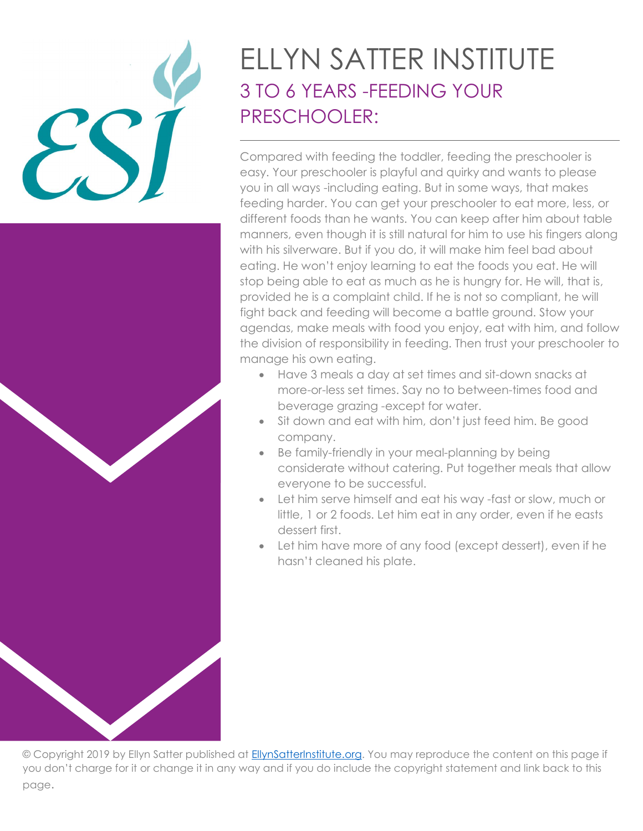# ELLYN SATTER INSTITUTE 3 TO 6 YEARS -FEEDING YOUR PRESCHOOLER:

Compared with feeding the toddler, feeding the preschooler is easy. Your preschooler is playful and quirky and wants to please you in all ways -including eating. But in some ways, that makes feeding harder. You can get your preschooler to eat more, less, or different foods than he wants. You can keep after him about table manners, even though it is still natural for him to use his fingers along with his silverware. But if you do, it will make him feel bad about eating. He won't enjoy learning to eat the foods you eat. He will stop being able to eat as much as he is hungry for. He will, that is, provided he is a complaint child. If he is not so compliant, he will fight back and feeding will become a battle ground. Stow your agendas, make meals with food you enjoy, eat with him, and follow the division of responsibility in feeding. Then trust your preschooler to manage his own eating.

- Have 3 meals a day at set times and sit-down snacks at more-or-less set times. Say no to between-times food and beverage grazing -except for water.
- Sit down and eat with him, don't just feed him. Be good company.
- Be family-friendly in your meal-planning by being considerate without catering. Put together meals that allow everyone to be successful.
- Let him serve himself and eat his way -fast or slow, much or little, 1 or 2 foods. Let him eat in any order, even if he easts dessert first.
- Let him have more of any food (except dessert), even if he hasn't cleaned his plate.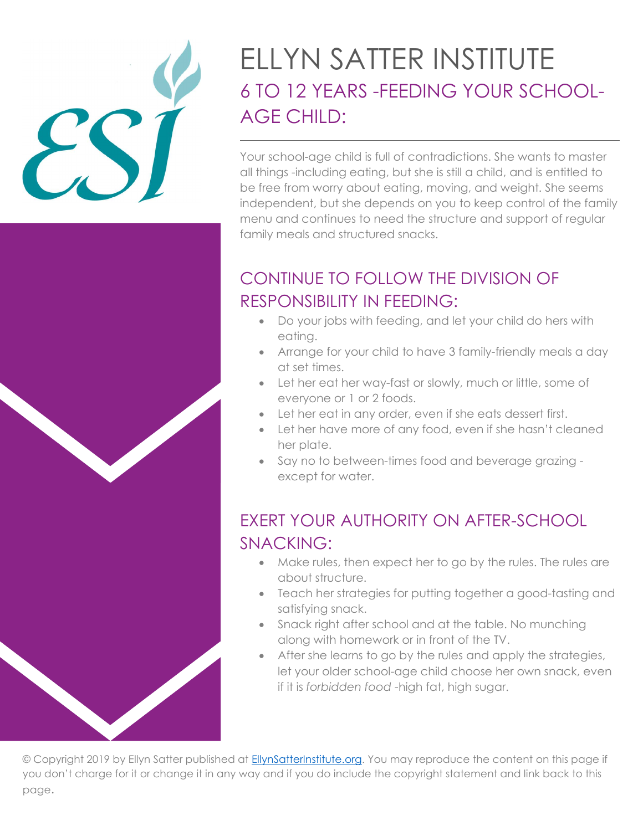## ELLYN SATTER INSTITUTE 6 TO 12 YEARS -FEEDING YOUR SCHOOL-AGE CHILD:

Your school-age child is full of contradictions. She wants to master all things -including eating, but she is still a child, and is entitled to be free from worry about eating, moving, and weight. She seems independent, but she depends on you to keep control of the family menu and continues to need the structure and support of regular family meals and structured snacks.

## CONTINUE TO FOLLOW THE DIVISION OF RESPONSIBILITY IN FEEDING:

- Do your jobs with feeding, and let your child do hers with eating.
- Arrange for your child to have 3 family-friendly meals a day at set times.
- Let her eat her way-fast or slowly, much or little, some of everyone or 1 or 2 foods.
- Let her eat in any order, even if she eats dessert first.
- Let her have more of any food, even if she hasn't cleaned her plate.
- Say no to between-times food and beverage grazing except for water.

## EXERT YOUR AUTHORITY ON AFTER-SCHOOL SNACKING:

- Make rules, then expect her to go by the rules. The rules are about structure.
- Teach her strategies for putting together a good-tasting and satisfying snack.
- Snack right after school and at the table. No munching along with homework or in front of the TV.
- After she learns to go by the rules and apply the strategies, let your older school-age child choose her own snack, even if it is forbidden food -high fat, high sugar.